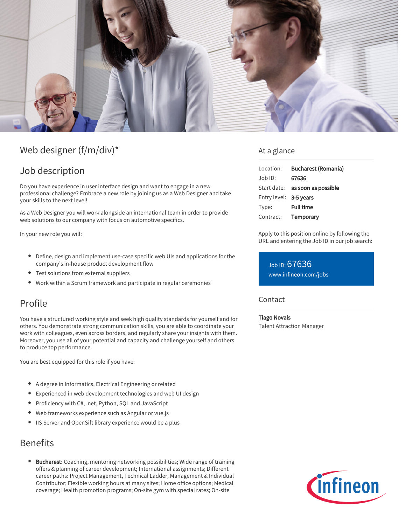

# Web designer (f/m/div)\*

## Job description

Do you have experience in user interface design and want to engage in a new professional challenge? Embrace a new role by joining us as a Web Designer and take your skills to the next level!

As a Web Designer you will work alongside an international team in order to provide web solutions to our company with focus on automotive specifics.

In your new role you will:

- Define, design and implement use-case specific web UIs and applications for the company's in-house product development flow
- Test solutions from external suppliers
- Work within a Scrum framework and participate in regular ceremonies

## Profile

You have a structured working style and seek high quality standards for yourself and for others. You demonstrate strong communication skills, you are able to coordinate your work with colleagues, even across borders, and regularly share your insights with them. Moreover, you use all of your potential and capacity and challenge yourself and others to produce top performance.

You are best equipped for this role if you have:

- A degree in Informatics, Electrical Engineering or related
- Experienced in web development technologies and web UI design
- Proficiency with C#, .net, Python, SQL and JavaScript
- Web frameworks experience such as Angular or vue.js
- IIS Server and OpenSift library experience would be a plus

### Benefits

Bucharest: Coaching, mentoring networking possibilities; Wide range of training offers & planning of career development; International assignments; Different career paths: Project Management, Technical Ladder, Management & Individual Contributor; Flexible working hours at many sites; Home office options; Medical coverage; Health promotion programs; On-site gym with special rates; On-site

### At a glance

| Location:              | <b>Bucharest (Romania)</b>             |
|------------------------|----------------------------------------|
| Job ID:                | 67636                                  |
|                        | Start date: <b>as soon as possible</b> |
| Entry level: 3-5 years |                                        |
| Type:                  | <b>Full time</b>                       |
| Contract:              | Temporary                              |

Apply to this position online by following the URL and entering the Job ID in our job search:

Job ID: 67636 [www.infineon.com/jobs](https://www.infineon.com/jobs)

#### Contact

#### Tiago Novais

Talent Attraction Manager